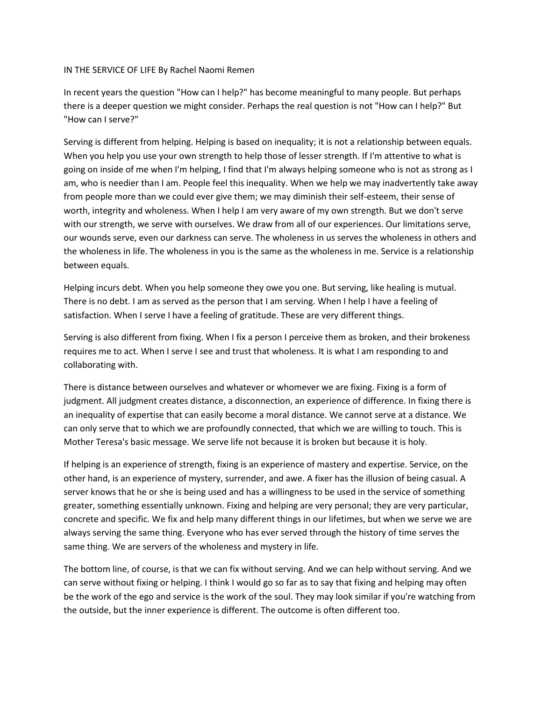## IN THE SERVICE OF LIFE By Rachel Naomi Remen

In recent years the question "How can I help?" has become meaningful to many people. But perhaps there is a deeper question we might consider. Perhaps the real question is not "How can I help?" But "How can I serve?"

Serving is different from helping. Helping is based on inequality; it is not a relationship between equals. When you help you use your own strength to help those of lesser strength. If I'm attentive to what is going on inside of me when I'm helping, I find that I'm always helping someone who is not as strong as I am, who is needier than I am. People feel this inequality. When we help we may inadvertently take away from people more than we could ever give them; we may diminish their self-esteem, their sense of worth, integrity and wholeness. When I help I am very aware of my own strength. But we don't serve with our strength, we serve with ourselves. We draw from all of our experiences. Our limitations serve, our wounds serve, even our darkness can serve. The wholeness in us serves the wholeness in others and the wholeness in life. The wholeness in you is the same as the wholeness in me. Service is a relationship between equals.

Helping incurs debt. When you help someone they owe you one. But serving, like healing is mutual. There is no debt. I am as served as the person that I am serving. When I help I have a feeling of satisfaction. When I serve I have a feeling of gratitude. These are very different things.

Serving is also different from fixing. When I fix a person I perceive them as broken, and their brokeness requires me to act. When I serve I see and trust that wholeness. It is what I am responding to and collaborating with.

There is distance between ourselves and whatever or whomever we are fixing. Fixing is a form of judgment. All judgment creates distance, a disconnection, an experience of difference. In fixing there is an inequality of expertise that can easily become a moral distance. We cannot serve at a distance. We can only serve that to which we are profoundly connected, that which we are willing to touch. This is Mother Teresa's basic message. We serve life not because it is broken but because it is holy.

If helping is an experience of strength, fixing is an experience of mastery and expertise. Service, on the other hand, is an experience of mystery, surrender, and awe. A fixer has the illusion of being casual. A server knows that he or she is being used and has a willingness to be used in the service of something greater, something essentially unknown. Fixing and helping are very personal; they are very particular, concrete and specific. We fix and help many different things in our lifetimes, but when we serve we are always serving the same thing. Everyone who has ever served through the history of time serves the same thing. We are servers of the wholeness and mystery in life.

The bottom line, of course, is that we can fix without serving. And we can help without serving. And we can serve without fixing or helping. I think I would go so far as to say that fixing and helping may often be the work of the ego and service is the work of the soul. They may look similar if you're watching from the outside, but the inner experience is different. The outcome is often different too.